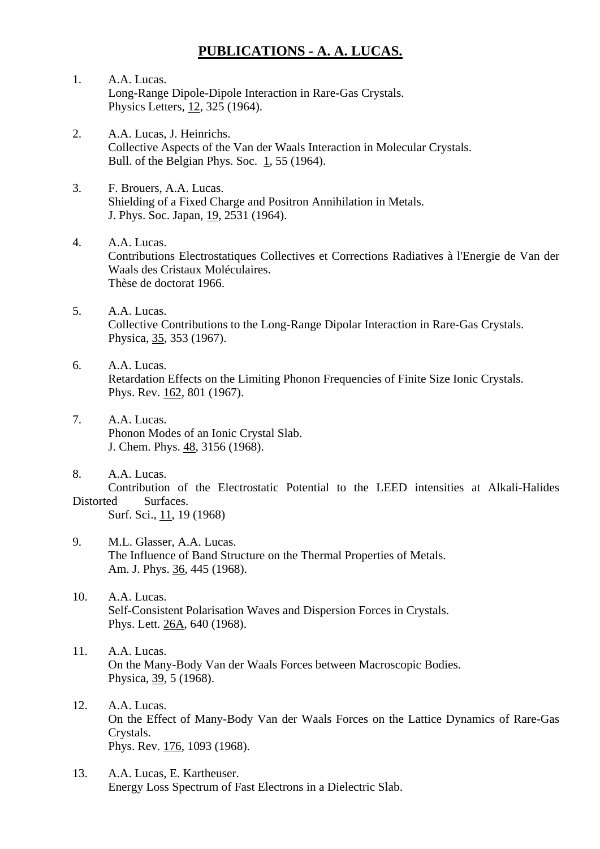## **PUBLICATIONS - A. A. LUCAS.**

- 1. A.A. Lucas. Long-Range Dipole-Dipole Interaction in Rare-Gas Crystals. Physics Letters, 12, 325 (1964).
- 2. A.A. Lucas, J. Heinrichs. Collective Aspects of the Van der Waals Interaction in Molecular Crystals. Bull. of the Belgian Phys. Soc. 1, 55 (1964).
- 3. F. Brouers, A.A. Lucas. Shielding of a Fixed Charge and Positron Annihilation in Metals. J. Phys. Soc. Japan, 19, 2531 (1964).
- 4. A.A. Lucas. Contributions Electrostatiques Collectives et Corrections Radiatives à l'Energie de Van der Waals des Cristaux Moléculaires. Thèse de doctorat 1966.
- 5. A.A. Lucas. Collective Contributions to the Long-Range Dipolar Interaction in Rare-Gas Crystals. Physica, 35, 353 (1967).
- 6. A.A. Lucas. Retardation Effects on the Limiting Phonon Frequencies of Finite Size Ionic Crystals. Phys. Rev. 162, 801 (1967).
- 7. A.A. Lucas. Phonon Modes of an Ionic Crystal Slab. J. Chem. Phys. 48, 3156 (1968).
- 8. A.A. Lucas. Contribution of the Electrostatic Potential to the LEED intensities at Alkali-Halides Distorted Surfaces. Surf. Sci., 11, 19 (1968)
- 9. M.L. Glasser, A.A. Lucas. The Influence of Band Structure on the Thermal Properties of Metals. Am. J. Phys. 36, 445 (1968).
- 10. A.A. Lucas. Self-Consistent Polarisation Waves and Dispersion Forces in Crystals. Phys. Lett. 26A, 640 (1968).
- 11. A.A. Lucas. On the Many-Body Van der Waals Forces between Macroscopic Bodies. Physica, 39, 5 (1968).
- 12. A.A. Lucas. On the Effect of Many-Body Van der Waals Forces on the Lattice Dynamics of Rare-Gas Crystals. Phys. Rev. 176, 1093 (1968).
- 13. A.A. Lucas, E. Kartheuser. Energy Loss Spectrum of Fast Electrons in a Dielectric Slab.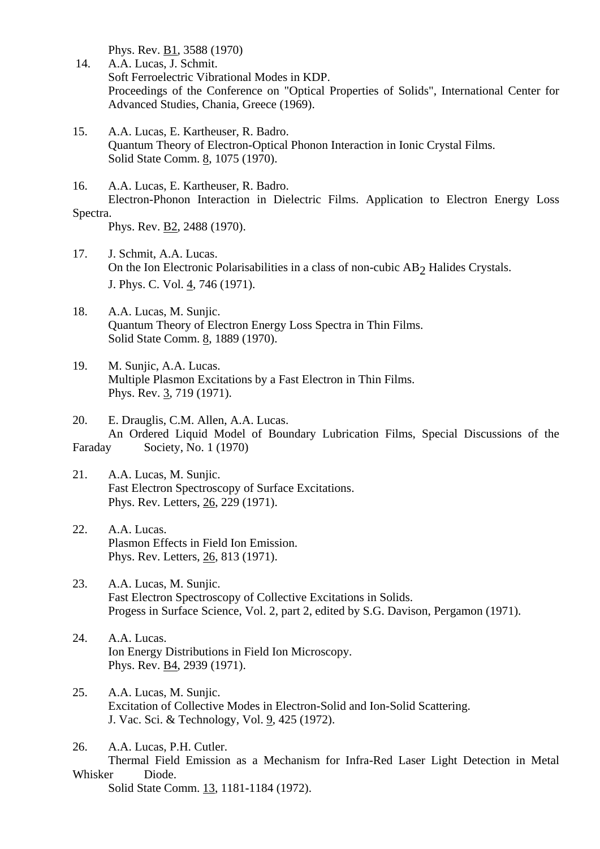Phys. Rev. B1, 3588 (1970)

- 14. A.A. Lucas, J. Schmit. Soft Ferroelectric Vibrational Modes in KDP. Proceedings of the Conference on "Optical Properties of Solids", International Center for Advanced Studies, Chania, Greece (1969).
- 15. A.A. Lucas, E. Kartheuser, R. Badro. Quantum Theory of Electron-Optical Phonon Interaction in Ionic Crystal Films. Solid State Comm. 8, 1075 (1970).
- 16. A.A. Lucas, E. Kartheuser, R. Badro. Electron-Phonon Interaction in Dielectric Films. Application to Electron Energy Loss Spectra.

Phys. Rev. B2, 2488 (1970).

- 17. J. Schmit, A.A. Lucas. On the Ion Electronic Polarisabilities in a class of non-cubic AB<sub>2</sub> Halides Crystals. J. Phys. C. Vol. 4, 746 (1971).
- 18. A.A. Lucas, M. Sunjic. Quantum Theory of Electron Energy Loss Spectra in Thin Films. Solid State Comm. 8, 1889 (1970).
- 19. M. Sunjic, A.A. Lucas. Multiple Plasmon Excitations by a Fast Electron in Thin Films. Phys. Rev. 3, 719 (1971).
- 20. E. Drauglis, C.M. Allen, A.A. Lucas. An Ordered Liquid Model of Boundary Lubrication Films, Special Discussions of the Faraday Society, No. 1 (1970)
- 21. A.A. Lucas, M. Sunjic. Fast Electron Spectroscopy of Surface Excitations. Phys. Rev. Letters, 26, 229 (1971).
- 22. A.A. Lucas. Plasmon Effects in Field Ion Emission. Phys. Rev. Letters, 26, 813 (1971).
- 23. A.A. Lucas, M. Sunjic. Fast Electron Spectroscopy of Collective Excitations in Solids. Progess in Surface Science, Vol. 2, part 2, edited by S.G. Davison, Pergamon (1971).
- 24. A.A. Lucas. Ion Energy Distributions in Field Ion Microscopy. Phys. Rev. B4, 2939 (1971).
- 25. A.A. Lucas, M. Sunjic. Excitation of Collective Modes in Electron-Solid and Ion-Solid Scattering. J. Vac. Sci. & Technology, Vol. 9, 425 (1972).
- 26. A.A. Lucas, P.H. Cutler.

 Thermal Field Emission as a Mechanism for Infra-Red Laser Light Detection in Metal Whisker Diode.

Solid State Comm. 13, 1181-1184 (1972).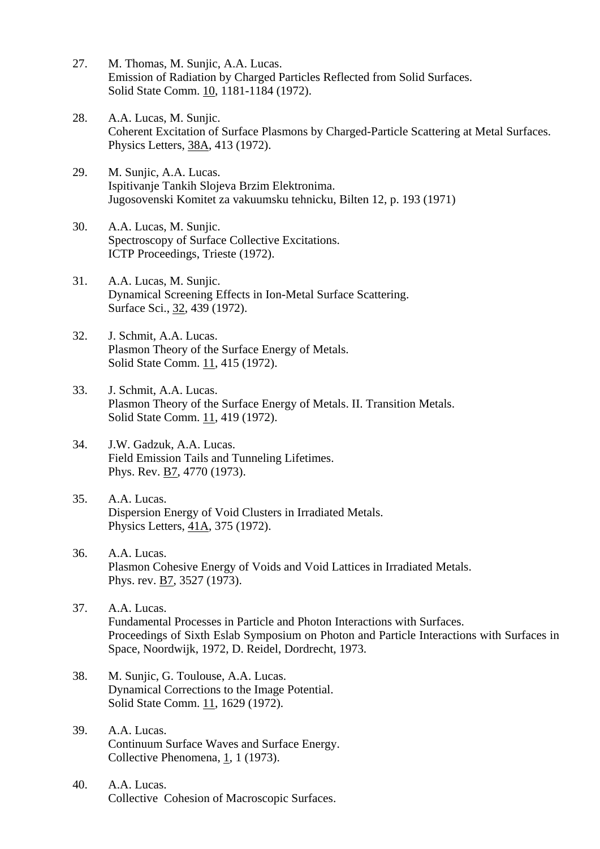- 27. M. Thomas, M. Sunjic, A.A. Lucas. Emission of Radiation by Charged Particles Reflected from Solid Surfaces. Solid State Comm. 10, 1181-1184 (1972).
- 28. A.A. Lucas, M. Sunjic. Coherent Excitation of Surface Plasmons by Charged-Particle Scattering at Metal Surfaces. Physics Letters, 38A, 413 (1972).
- 29. M. Sunjic, A.A. Lucas. Ispitivanje Tankih Slojeva Brzim Elektronima. Jugosovenski Komitet za vakuumsku tehnicku, Bilten 12, p. 193 (1971)
- 30. A.A. Lucas, M. Sunjic. Spectroscopy of Surface Collective Excitations. ICTP Proceedings, Trieste (1972).
- 31. A.A. Lucas, M. Sunjic. Dynamical Screening Effects in Ion-Metal Surface Scattering. Surface Sci., 32, 439 (1972).
- 32. J. Schmit, A.A. Lucas. Plasmon Theory of the Surface Energy of Metals. Solid State Comm. 11, 415 (1972).
- 33. J. Schmit, A.A. Lucas. Plasmon Theory of the Surface Energy of Metals. II. Transition Metals. Solid State Comm. 11, 419 (1972).
- 34. J.W. Gadzuk, A.A. Lucas. Field Emission Tails and Tunneling Lifetimes. Phys. Rev. B7, 4770 (1973).
- 35. A.A. Lucas. Dispersion Energy of Void Clusters in Irradiated Metals. Physics Letters, 41A, 375 (1972).
- 36. A.A. Lucas. Plasmon Cohesive Energy of Voids and Void Lattices in Irradiated Metals. Phys. rev. B7, 3527 (1973).
- 37. A.A. Lucas. Fundamental Processes in Particle and Photon Interactions with Surfaces. Proceedings of Sixth Eslab Symposium on Photon and Particle Interactions with Surfaces in Space, Noordwijk, 1972, D. Reidel, Dordrecht, 1973.
- 38. M. Sunjic, G. Toulouse, A.A. Lucas. Dynamical Corrections to the Image Potential. Solid State Comm. 11, 1629 (1972).
- 39. A.A. Lucas. Continuum Surface Waves and Surface Energy. Collective Phenomena, 1, 1 (1973).
- 40. A.A. Lucas. Collective Cohesion of Macroscopic Surfaces.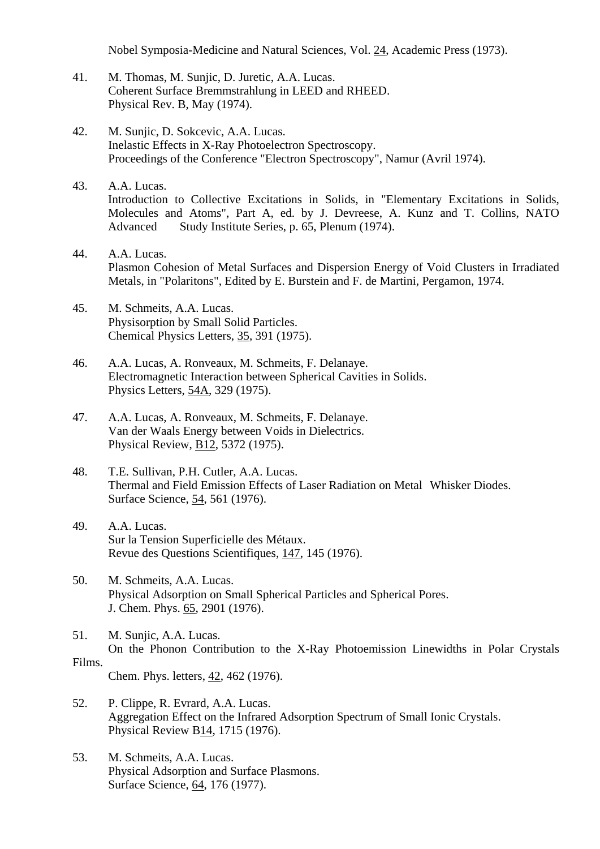Nobel Symposia-Medicine and Natural Sciences, Vol. 24, Academic Press (1973).

- 41. M. Thomas, M. Sunjic, D. Juretic, A.A. Lucas. Coherent Surface Bremmstrahlung in LEED and RHEED. Physical Rev. B, May (1974).
- 42. M. Sunjic, D. Sokcevic, A.A. Lucas. Inelastic Effects in X-Ray Photoelectron Spectroscopy. Proceedings of the Conference "Electron Spectroscopy", Namur (Avril 1974).
- 43. A.A. Lucas. Introduction to Collective Excitations in Solids, in "Elementary Excitations in Solids, Molecules and Atoms", Part A, ed. by J. Devreese, A. Kunz and T. Collins, NATO Advanced Study Institute Series, p. 65, Plenum (1974).
- 44. A.A. Lucas. Plasmon Cohesion of Metal Surfaces and Dispersion Energy of Void Clusters in Irradiated Metals, in "Polaritons", Edited by E. Burstein and F. de Martini, Pergamon, 1974.
- 45. M. Schmeits, A.A. Lucas. Physisorption by Small Solid Particles. Chemical Physics Letters, 35, 391 (1975).
- 46. A.A. Lucas, A. Ronveaux, M. Schmeits, F. Delanaye. Electromagnetic Interaction between Spherical Cavities in Solids. Physics Letters, 54A, 329 (1975).
- 47. A.A. Lucas, A. Ronveaux, M. Schmeits, F. Delanaye. Van der Waals Energy between Voids in Dielectrics. Physical Review, B12, 5372 (1975).
- 48. T.E. Sullivan, P.H. Cutler, A.A. Lucas. Thermal and Field Emission Effects of Laser Radiation on Metal Whisker Diodes. Surface Science, 54, 561 (1976).
- 49. A.A. Lucas. Sur la Tension Superficielle des Métaux. Revue des Questions Scientifiques, 147, 145 (1976).
- 50. M. Schmeits, A.A. Lucas. Physical Adsorption on Small Spherical Particles and Spherical Pores. J. Chem. Phys. 65, 2901 (1976).
- 51. M. Sunjic, A.A. Lucas. On the Phonon Contribution to the X-Ray Photoemission Linewidths in Polar Crystals Films.

Chem. Phys. letters, 42, 462 (1976).

- 52. P. Clippe, R. Evrard, A.A. Lucas. Aggregation Effect on the Infrared Adsorption Spectrum of Small Ionic Crystals. Physical Review B14, 1715 (1976).
- 53. M. Schmeits, A.A. Lucas. Physical Adsorption and Surface Plasmons. Surface Science, 64, 176 (1977).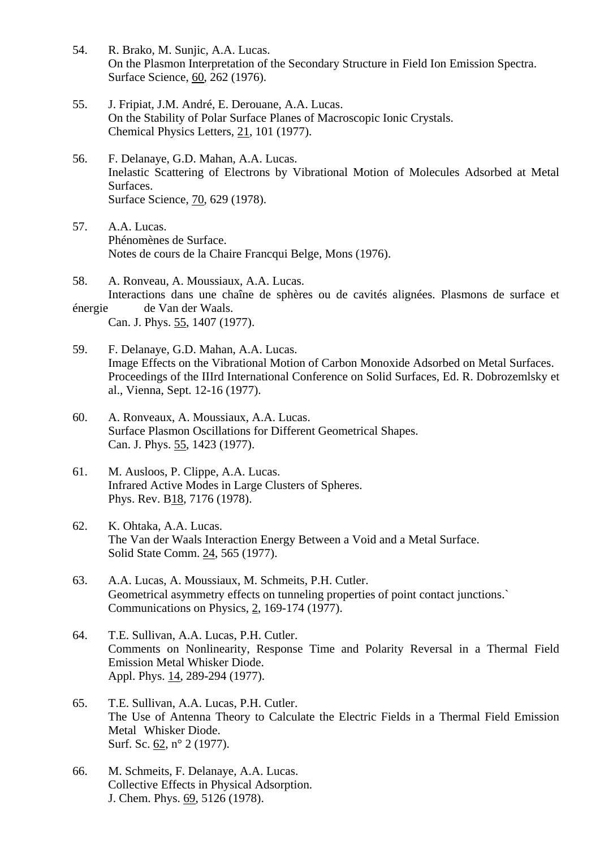- 54. R. Brako, M. Sunjic, A.A. Lucas. On the Plasmon Interpretation of the Secondary Structure in Field Ion Emission Spectra. Surface Science, 60, 262 (1976).
- 55. J. Fripiat, J.M. André, E. Derouane, A.A. Lucas. On the Stability of Polar Surface Planes of Macroscopic Ionic Crystals. Chemical Physics Letters, 21, 101 (1977).
- 56. F. Delanaye, G.D. Mahan, A.A. Lucas. Inelastic Scattering of Electrons by Vibrational Motion of Molecules Adsorbed at Metal Surfaces. Surface Science, 70, 629 (1978).
- 57. A.A. Lucas. Phénomènes de Surface. Notes de cours de la Chaire Francqui Belge, Mons (1976).
- 58. A. Ronveau, A. Moussiaux, A.A. Lucas. Interactions dans une chaîne de sphères ou de cavités alignées. Plasmons de surface et énergie de Van der Waals. Can. J. Phys. 55, 1407 (1977).
- 59. F. Delanaye, G.D. Mahan, A.A. Lucas. Image Effects on the Vibrational Motion of Carbon Monoxide Adsorbed on Metal Surfaces. Proceedings of the IIIrd International Conference on Solid Surfaces, Ed. R. Dobrozemlsky et al., Vienna, Sept. 12-16 (1977).
- 60. A. Ronveaux, A. Moussiaux, A.A. Lucas. Surface Plasmon Oscillations for Different Geometrical Shapes. Can. J. Phys. 55, 1423 (1977).
- 61. M. Ausloos, P. Clippe, A.A. Lucas. Infrared Active Modes in Large Clusters of Spheres. Phys. Rev. B18, 7176 (1978).
- 62. K. Ohtaka, A.A. Lucas. The Van der Waals Interaction Energy Between a Void and a Metal Surface. Solid State Comm. 24, 565 (1977).
- 63. A.A. Lucas, A. Moussiaux, M. Schmeits, P.H. Cutler. Geometrical asymmetry effects on tunneling properties of point contact junctions.` Communications on Physics, 2, 169-174 (1977).
- 64. T.E. Sullivan, A.A. Lucas, P.H. Cutler. Comments on Nonlinearity, Response Time and Polarity Reversal in a Thermal Field Emission Metal Whisker Diode. Appl. Phys. 14, 289-294 (1977).
- 65. T.E. Sullivan, A.A. Lucas, P.H. Cutler. The Use of Antenna Theory to Calculate the Electric Fields in a Thermal Field Emission Metal Whisker Diode. Surf. Sc. 62, n° 2 (1977).
- 66. M. Schmeits, F. Delanaye, A.A. Lucas. Collective Effects in Physical Adsorption. J. Chem. Phys. 69, 5126 (1978).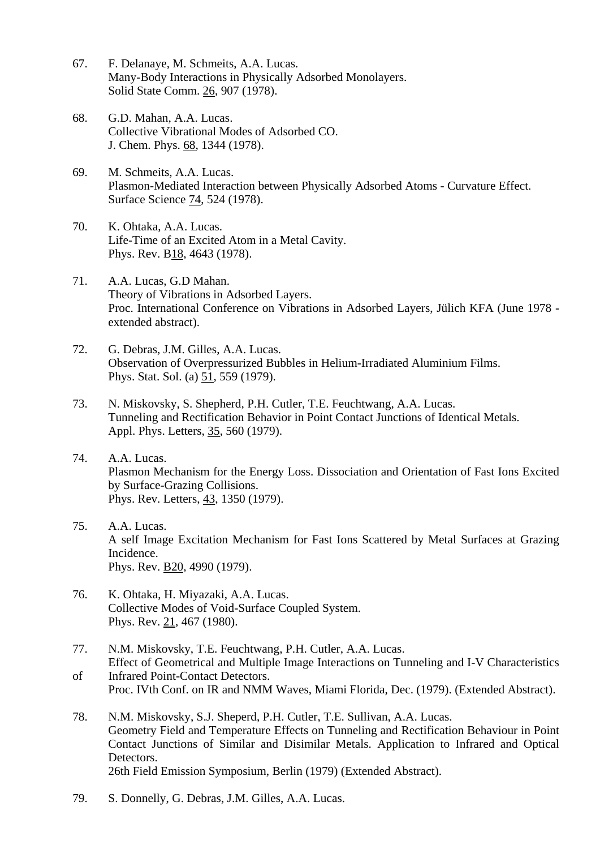- 67. F. Delanaye, M. Schmeits, A.A. Lucas. Many-Body Interactions in Physically Adsorbed Monolayers. Solid State Comm. 26, 907 (1978).
- 68. G.D. Mahan, A.A. Lucas. Collective Vibrational Modes of Adsorbed CO. J. Chem. Phys. 68, 1344 (1978).
- 69. M. Schmeits, A.A. Lucas. Plasmon-Mediated Interaction between Physically Adsorbed Atoms - Curvature Effect. Surface Science 74, 524 (1978).
- 70. K. Ohtaka, A.A. Lucas. Life-Time of an Excited Atom in a Metal Cavity. Phys. Rev. B18, 4643 (1978).
- 71. A.A. Lucas, G.D Mahan. Theory of Vibrations in Adsorbed Layers. Proc. International Conference on Vibrations in Adsorbed Layers, Jülich KFA (June 1978 extended abstract).
- 72. G. Debras, J.M. Gilles, A.A. Lucas. Observation of Overpressurized Bubbles in Helium-Irradiated Aluminium Films. Phys. Stat. Sol. (a) 51, 559 (1979).
- 73. N. Miskovsky, S. Shepherd, P.H. Cutler, T.E. Feuchtwang, A.A. Lucas. Tunneling and Rectification Behavior in Point Contact Junctions of Identical Metals. Appl. Phys. Letters, 35, 560 (1979).
- 74. A.A. Lucas. Plasmon Mechanism for the Energy Loss. Dissociation and Orientation of Fast Ions Excited by Surface-Grazing Collisions. Phys. Rev. Letters, 43, 1350 (1979).
- 75. A.A. Lucas. A self Image Excitation Mechanism for Fast Ions Scattered by Metal Surfaces at Grazing Incidence. Phys. Rev. B20, 4990 (1979).
- 76. K. Ohtaka, H. Miyazaki, A.A. Lucas. Collective Modes of Void-Surface Coupled System. Phys. Rev. 21, 467 (1980).
- 77. N.M. Miskovsky, T.E. Feuchtwang, P.H. Cutler, A.A. Lucas. Effect of Geometrical and Multiple Image Interactions on Tunneling and I-V Characteristics
- of Infrared Point-Contact Detectors. Proc. IVth Conf. on IR and NMM Waves, Miami Florida, Dec. (1979). (Extended Abstract).
- 78. N.M. Miskovsky, S.J. Sheperd, P.H. Cutler, T.E. Sullivan, A.A. Lucas. Geometry Field and Temperature Effects on Tunneling and Rectification Behaviour in Point Contact Junctions of Similar and Disimilar Metals. Application to Infrared and Optical Detectors. 26th Field Emission Symposium, Berlin (1979) (Extended Abstract).
- 79. S. Donnelly, G. Debras, J.M. Gilles, A.A. Lucas.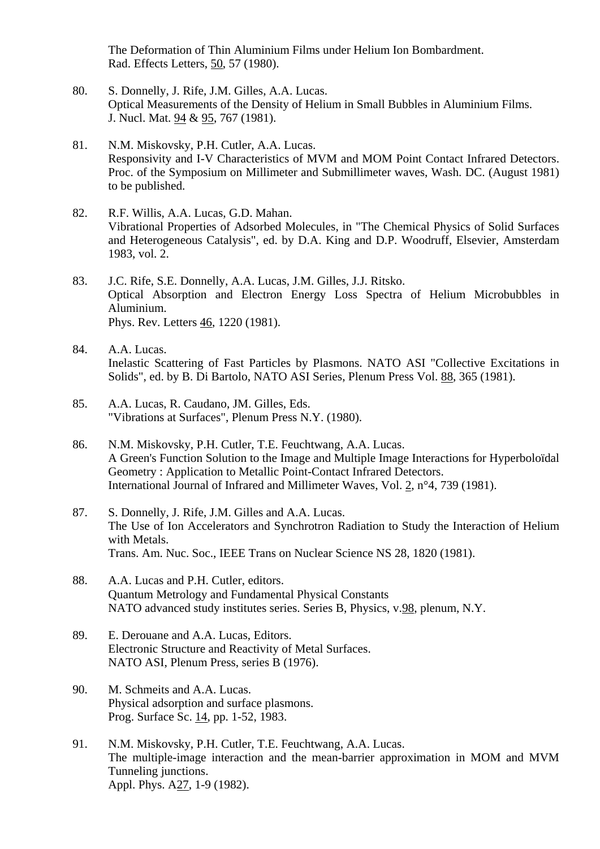The Deformation of Thin Aluminium Films under Helium Ion Bombardment. Rad. Effects Letters, 50, 57 (1980).

- 80. S. Donnelly, J. Rife, J.M. Gilles, A.A. Lucas. Optical Measurements of the Density of Helium in Small Bubbles in Aluminium Films. J. Nucl. Mat. 94 & 95, 767 (1981).
- 81. N.M. Miskovsky, P.H. Cutler, A.A. Lucas. Responsivity and I-V Characteristics of MVM and MOM Point Contact Infrared Detectors. Proc. of the Symposium on Millimeter and Submillimeter waves, Wash. DC. (August 1981) to be published.
- 82. R.F. Willis, A.A. Lucas, G.D. Mahan. Vibrational Properties of Adsorbed Molecules, in "The Chemical Physics of Solid Surfaces and Heterogeneous Catalysis", ed. by D.A. King and D.P. Woodruff, Elsevier, Amsterdam 1983, vol. 2.
- 83. J.C. Rife, S.E. Donnelly, A.A. Lucas, J.M. Gilles, J.J. Ritsko. Optical Absorption and Electron Energy Loss Spectra of Helium Microbubbles in Aluminium. Phys. Rev. Letters 46, 1220 (1981).
- 84. A.A. Lucas. Inelastic Scattering of Fast Particles by Plasmons. NATO ASI "Collective Excitations in Solids", ed. by B. Di Bartolo, NATO ASI Series, Plenum Press Vol. 88, 365 (1981).
- 85. A.A. Lucas, R. Caudano, JM. Gilles, Eds. "Vibrations at Surfaces", Plenum Press N.Y. (1980).
- 86. N.M. Miskovsky, P.H. Cutler, T.E. Feuchtwang, A.A. Lucas. A Green's Function Solution to the Image and Multiple Image Interactions for Hyperboloïdal Geometry : Application to Metallic Point-Contact Infrared Detectors. International Journal of Infrared and Millimeter Waves, Vol. 2, n°4, 739 (1981).
- 87. S. Donnelly, J. Rife, J.M. Gilles and A.A. Lucas. The Use of Ion Accelerators and Synchrotron Radiation to Study the Interaction of Helium with Metals. Trans. Am. Nuc. Soc., IEEE Trans on Nuclear Science NS 28, 1820 (1981).
- 88. A.A. Lucas and P.H. Cutler, editors. Quantum Metrology and Fundamental Physical Constants NATO advanced study institutes series. Series B, Physics, v.98, plenum, N.Y.
- 89. E. Derouane and A.A. Lucas, Editors. Electronic Structure and Reactivity of Metal Surfaces. NATO ASI, Plenum Press, series B (1976).
- 90. M. Schmeits and A.A. Lucas. Physical adsorption and surface plasmons. Prog. Surface Sc. 14, pp. 1-52, 1983.
- 91. N.M. Miskovsky, P.H. Cutler, T.E. Feuchtwang, A.A. Lucas. The multiple-image interaction and the mean-barrier approximation in MOM and MVM Tunneling junctions. Appl. Phys. A27, 1-9 (1982).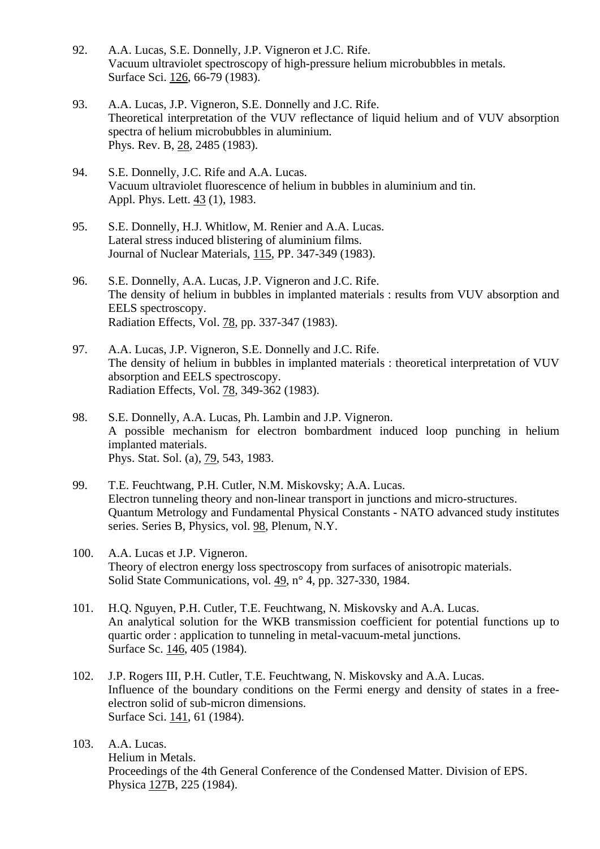- 92. A.A. Lucas, S.E. Donnelly, J.P. Vigneron et J.C. Rife. Vacuum ultraviolet spectroscopy of high-pressure helium microbubbles in metals. Surface Sci. 126, 66-79 (1983).
- 93. A.A. Lucas, J.P. Vigneron, S.E. Donnelly and J.C. Rife. Theoretical interpretation of the VUV reflectance of liquid helium and of VUV absorption spectra of helium microbubbles in aluminium. Phys. Rev. B, 28, 2485 (1983).
- 94. S.E. Donnelly, J.C. Rife and A.A. Lucas. Vacuum ultraviolet fluorescence of helium in bubbles in aluminium and tin. Appl. Phys. Lett. 43 (1), 1983.
- 95. S.E. Donnelly, H.J. Whitlow, M. Renier and A.A. Lucas. Lateral stress induced blistering of aluminium films. Journal of Nuclear Materials, 115, PP. 347-349 (1983).
- 96. S.E. Donnelly, A.A. Lucas, J.P. Vigneron and J.C. Rife. The density of helium in bubbles in implanted materials : results from VUV absorption and EELS spectroscopy. Radiation Effects, Vol. 78, pp. 337-347 (1983).
- 97. A.A. Lucas, J.P. Vigneron, S.E. Donnelly and J.C. Rife. The density of helium in bubbles in implanted materials : theoretical interpretation of VUV absorption and EELS spectroscopy. Radiation Effects, Vol. 78, 349-362 (1983).
- 98. S.E. Donnelly, A.A. Lucas, Ph. Lambin and J.P. Vigneron. A possible mechanism for electron bombardment induced loop punching in helium implanted materials. Phys. Stat. Sol. (a), 79, 543, 1983.
- 99. T.E. Feuchtwang, P.H. Cutler, N.M. Miskovsky; A.A. Lucas. Electron tunneling theory and non-linear transport in junctions and micro-structures. Quantum Metrology and Fundamental Physical Constants - NATO advanced study institutes series. Series B, Physics, vol. 98, Plenum, N.Y.
- 100. A.A. Lucas et J.P. Vigneron. Theory of electron energy loss spectroscopy from surfaces of anisotropic materials. Solid State Communications, vol. 49, n° 4, pp. 327-330, 1984.
- 101. H.Q. Nguyen, P.H. Cutler, T.E. Feuchtwang, N. Miskovsky and A.A. Lucas. An analytical solution for the WKB transmission coefficient for potential functions up to quartic order : application to tunneling in metal-vacuum-metal junctions. Surface Sc. 146, 405 (1984).
- 102. J.P. Rogers III, P.H. Cutler, T.E. Feuchtwang, N. Miskovsky and A.A. Lucas. Influence of the boundary conditions on the Fermi energy and density of states in a free electron solid of sub-micron dimensions. Surface Sci. 141, 61 (1984).
- 103. A.A. Lucas. Helium in Metals. Proceedings of the 4th General Conference of the Condensed Matter. Division of EPS. Physica 127B, 225 (1984).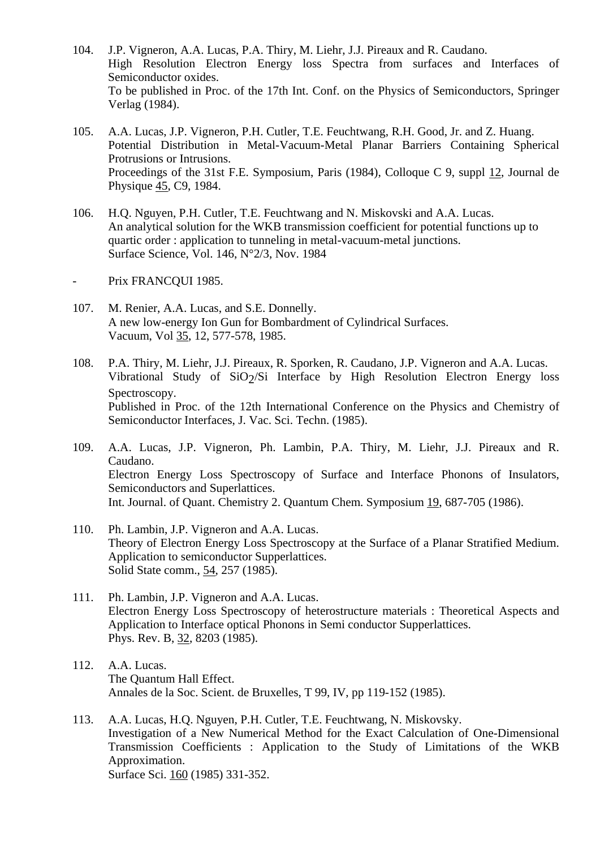- 104. J.P. Vigneron, A.A. Lucas, P.A. Thiry, M. Liehr, J.J. Pireaux and R. Caudano. High Resolution Electron Energy loss Spectra from surfaces and Interfaces of Semiconductor oxides. To be published in Proc. of the 17th Int. Conf. on the Physics of Semiconductors, Springer Verlag (1984).
- 105. A.A. Lucas, J.P. Vigneron, P.H. Cutler, T.E. Feuchtwang, R.H. Good, Jr. and Z. Huang. Potential Distribution in Metal-Vacuum-Metal Planar Barriers Containing Spherical Protrusions or Intrusions. Proceedings of the 31st F.E. Symposium, Paris (1984), Colloque C 9, suppl 12, Journal de Physique 45, C9, 1984.
- 106. H.Q. Nguyen, P.H. Cutler, T.E. Feuchtwang and N. Miskovski and A.A. Lucas. An analytical solution for the WKB transmission coefficient for potential functions up to quartic order : application to tunneling in metal-vacuum-metal junctions. Surface Science, Vol. 146, N°2/3, Nov. 1984

Prix FRANCQUI 1985.

- 107. M. Renier, A.A. Lucas, and S.E. Donnelly. A new low-energy Ion Gun for Bombardment of Cylindrical Surfaces. Vacuum, Vol 35, 12, 577-578, 1985.
- 108. P.A. Thiry, M. Liehr, J.J. Pireaux, R. Sporken, R. Caudano, J.P. Vigneron and A.A. Lucas. Vibrational Study of  $SiO<sub>2</sub>/Si$  Interface by High Resolution Electron Energy loss Spectroscopy. Published in Proc. of the 12th International Conference on the Physics and Chemistry of Semiconductor Interfaces, J. Vac. Sci. Techn. (1985).
- 109. A.A. Lucas, J.P. Vigneron, Ph. Lambin, P.A. Thiry, M. Liehr, J.J. Pireaux and R. Caudano. Electron Energy Loss Spectroscopy of Surface and Interface Phonons of Insulators, Semiconductors and Superlattices. Int. Journal. of Quant. Chemistry 2. Quantum Chem. Symposium 19, 687-705 (1986).
- 110. Ph. Lambin, J.P. Vigneron and A.A. Lucas. Theory of Electron Energy Loss Spectroscopy at the Surface of a Planar Stratified Medium. Application to semiconductor Supperlattices. Solid State comm., 54, 257 (1985).
- 111. Ph. Lambin, J.P. Vigneron and A.A. Lucas. Electron Energy Loss Spectroscopy of heterostructure materials : Theoretical Aspects and Application to Interface optical Phonons in Semi conductor Supperlattices. Phys. Rev. B, 32, 8203 (1985).
- 112. A.A. Lucas. The Quantum Hall Effect. Annales de la Soc. Scient. de Bruxelles, T 99, IV, pp 119-152 (1985).
- 113. A.A. Lucas, H.Q. Nguyen, P.H. Cutler, T.E. Feuchtwang, N. Miskovsky. Investigation of a New Numerical Method for the Exact Calculation of One-Dimensional Transmission Coefficients : Application to the Study of Limitations of the WKB Approximation. Surface Sci. 160 (1985) 331-352.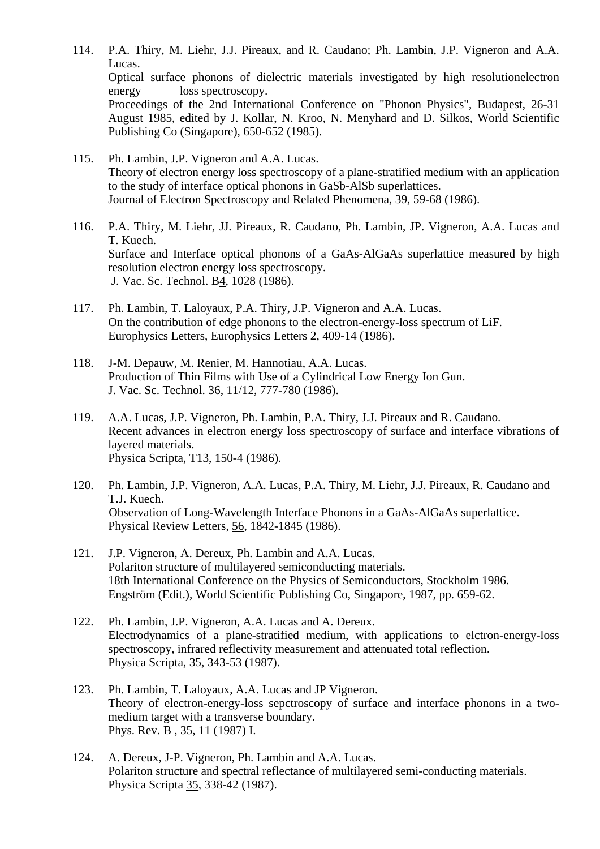114. P.A. Thiry, M. Liehr, J.J. Pireaux, and R. Caudano; Ph. Lambin, J.P. Vigneron and A.A. Lucas. Optical surface phonons of dielectric materials investigated by high resolutionelectron energy loss spectroscopy. Proceedings of the 2nd International Conference on "Phonon Physics", Budapest, 26-31 August 1985, edited by J. Kollar, N. Kroo, N. Menyhard and D. Silkos, World Scientific Publishing Co (Singapore), 650-652 (1985).

- 115. Ph. Lambin, J.P. Vigneron and A.A. Lucas. Theory of electron energy loss spectroscopy of a plane-stratified medium with an application to the study of interface optical phonons in GaSb-AlSb superlattices. Journal of Electron Spectroscopy and Related Phenomena, 39, 59-68 (1986).
- 116. P.A. Thiry, M. Liehr, JJ. Pireaux, R. Caudano, Ph. Lambin, JP. Vigneron, A.A. Lucas and T. Kuech. Surface and Interface optical phonons of a GaAs-AlGaAs superlattice measured by high resolution electron energy loss spectroscopy. J. Vac. Sc. Technol. B4, 1028 (1986).
- 117. Ph. Lambin, T. Laloyaux, P.A. Thiry, J.P. Vigneron and A.A. Lucas. On the contribution of edge phonons to the electron-energy-loss spectrum of LiF. Europhysics Letters, Europhysics Letters 2, 409-14 (1986).
- 118. J-M. Depauw, M. Renier, M. Hannotiau, A.A. Lucas. Production of Thin Films with Use of a Cylindrical Low Energy Ion Gun. J. Vac. Sc. Technol. 36, 11/12, 777-780 (1986).
- 119. A.A. Lucas, J.P. Vigneron, Ph. Lambin, P.A. Thiry, J.J. Pireaux and R. Caudano. Recent advances in electron energy loss spectroscopy of surface and interface vibrations of layered materials. Physica Scripta, T13, 150-4 (1986).
- 120. Ph. Lambin, J.P. Vigneron, A.A. Lucas, P.A. Thiry, M. Liehr, J.J. Pireaux, R. Caudano and T.J. Kuech. Observation of Long-Wavelength Interface Phonons in a GaAs-AlGaAs superlattice. Physical Review Letters, 56, 1842-1845 (1986).
- 121. J.P. Vigneron, A. Dereux, Ph. Lambin and A.A. Lucas. Polariton structure of multilayered semiconducting materials. 18th International Conference on the Physics of Semiconductors, Stockholm 1986. Engström (Edit.), World Scientific Publishing Co, Singapore, 1987, pp. 659-62.
- 122. Ph. Lambin, J.P. Vigneron, A.A. Lucas and A. Dereux. Electrodynamics of a plane-stratified medium, with applications to elctron-energy-loss spectroscopy, infrared reflectivity measurement and attenuated total reflection. Physica Scripta, 35, 343-53 (1987).
- 123. Ph. Lambin, T. Laloyaux, A.A. Lucas and JP Vigneron. Theory of electron-energy-loss sepctroscopy of surface and interface phonons in a two medium target with a transverse boundary. Phys. Rev. B , 35, 11 (1987) I.
- 124. A. Dereux, J-P. Vigneron, Ph. Lambin and A.A. Lucas. Polariton structure and spectral reflectance of multilayered semi-conducting materials. Physica Scripta 35, 338-42 (1987).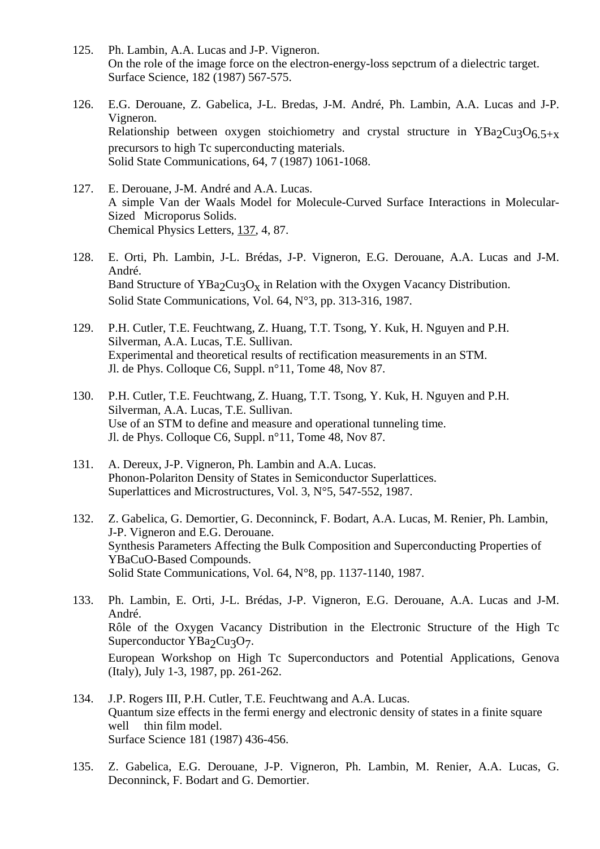- 125. Ph. Lambin, A.A. Lucas and J-P. Vigneron. On the role of the image force on the electron-energy-loss sepctrum of a dielectric target. Surface Science, 182 (1987) 567-575.
- 126. E.G. Derouane, Z. Gabelica, J-L. Bredas, J-M. André, Ph. Lambin, A.A. Lucas and J-P. Vigneron. Relationship between oxygen stoichiometry and crystal structure in YBa2Cu3O6.5+x precursors to high Tc superconducting materials. Solid State Communications, 64, 7 (1987) 1061-1068.
- 127. E. Derouane, J-M. André and A.A. Lucas. A simple Van der Waals Model for Molecule-Curved Surface Interactions in Molecular-Sized Microporus Solids. Chemical Physics Letters, 137, 4, 87.
- 128. E. Orti, Ph. Lambin, J-L. Brédas, J-P. Vigneron, E.G. Derouane, A.A. Lucas and J-M. André. Band Structure of  $YBa_2Cu_3O_x$  in Relation with the Oxygen Vacancy Distribution. Solid State Communications, Vol. 64, N°3, pp. 313-316, 1987.
- 129. P.H. Cutler, T.E. Feuchtwang, Z. Huang, T.T. Tsong, Y. Kuk, H. Nguyen and P.H. Silverman, A.A. Lucas, T.E. Sullivan. Experimental and theoretical results of rectification measurements in an STM. Jl. de Phys. Colloque C6, Suppl. n°11, Tome 48, Nov 87.
- 130. P.H. Cutler, T.E. Feuchtwang, Z. Huang, T.T. Tsong, Y. Kuk, H. Nguyen and P.H. Silverman, A.A. Lucas, T.E. Sullivan. Use of an STM to define and measure and operational tunneling time. Jl. de Phys. Colloque C6, Suppl. n°11, Tome 48, Nov 87.
- 131. A. Dereux, J-P. Vigneron, Ph. Lambin and A.A. Lucas. Phonon-Polariton Density of States in Semiconductor Superlattices. Superlattices and Microstructures, Vol. 3, N°5, 547-552, 1987.
- 132. Z. Gabelica, G. Demortier, G. Deconninck, F. Bodart, A.A. Lucas, M. Renier, Ph. Lambin, J-P. Vigneron and E.G. Derouane. Synthesis Parameters Affecting the Bulk Composition and Superconducting Properties of YBaCuO-Based Compounds. Solid State Communications, Vol. 64, N°8, pp. 1137-1140, 1987.
- 133. Ph. Lambin, E. Orti, J-L. Brédas, J-P. Vigneron, E.G. Derouane, A.A. Lucas and J-M. André. Rôle of the Oxygen Vacancy Distribution in the Electronic Structure of the High Tc Superconductor  $YBa_2Cu_3O_7$ . European Workshop on High Tc Superconductors and Potential Applications, Genova (Italy), July 1-3, 1987, pp. 261-262.
- 134. J.P. Rogers III, P.H. Cutler, T.E. Feuchtwang and A.A. Lucas. Quantum size effects in the fermi energy and electronic density of states in a finite square well thin film model. Surface Science 181 (1987) 436-456.
- 135. Z. Gabelica, E.G. Derouane, J-P. Vigneron, Ph. Lambin, M. Renier, A.A. Lucas, G. Deconninck, F. Bodart and G. Demortier.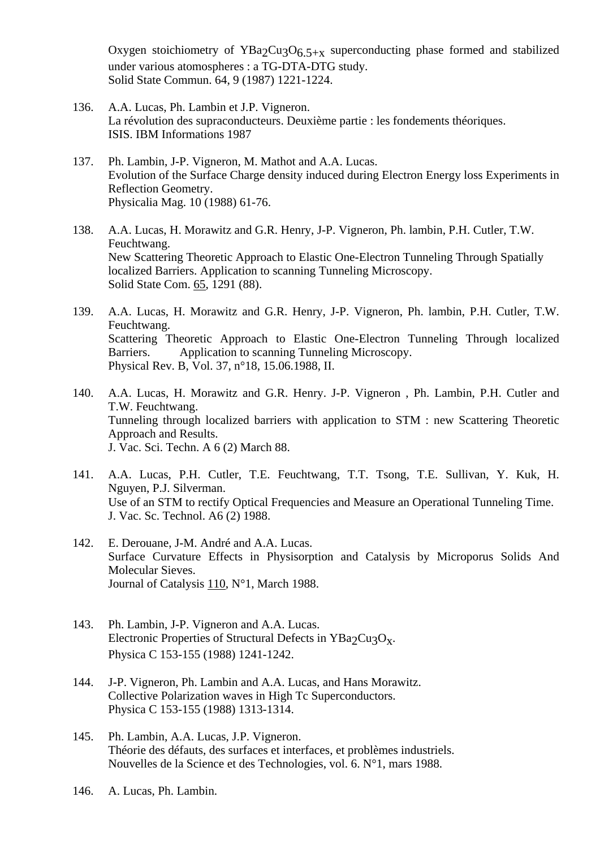Oxygen stoichiometry of YBa<sub>2</sub>Cu<sub>3</sub>O<sub>6.5+x</sub> superconducting phase formed and stabilized under various atomospheres : a TG-DTA-DTG study. Solid State Commun. 64, 9 (1987) 1221-1224.

- 136. A.A. Lucas, Ph. Lambin et J.P. Vigneron. La révolution des supraconducteurs. Deuxième partie : les fondements théoriques. ISIS. IBM Informations 1987
- 137. Ph. Lambin, J-P. Vigneron, M. Mathot and A.A. Lucas. Evolution of the Surface Charge density induced during Electron Energy loss Experiments in Reflection Geometry. Physicalia Mag. 10 (1988) 61-76.
- 138. A.A. Lucas, H. Morawitz and G.R. Henry, J-P. Vigneron, Ph. lambin, P.H. Cutler, T.W. Feuchtwang. New Scattering Theoretic Approach to Elastic One-Electron Tunneling Through Spatially localized Barriers. Application to scanning Tunneling Microscopy. Solid State Com. 65, 1291 (88).
- 139. A.A. Lucas, H. Morawitz and G.R. Henry, J-P. Vigneron, Ph. lambin, P.H. Cutler, T.W. Feuchtwang. Scattering Theoretic Approach to Elastic One-Electron Tunneling Through localized Barriers. Application to scanning Tunneling Microscopy. Physical Rev. B, Vol. 37, n°18, 15.06.1988, II.
- 140. A.A. Lucas, H. Morawitz and G.R. Henry. J-P. Vigneron , Ph. Lambin, P.H. Cutler and T.W. Feuchtwang. Tunneling through localized barriers with application to STM : new Scattering Theoretic Approach and Results. J. Vac. Sci. Techn. A 6 (2) March 88.
- 141. A.A. Lucas, P.H. Cutler, T.E. Feuchtwang, T.T. Tsong, T.E. Sullivan, Y. Kuk, H. Nguyen, P.J. Silverman. Use of an STM to rectify Optical Frequencies and Measure an Operational Tunneling Time. J. Vac. Sc. Technol. A6 (2) 1988.
- 142. E. Derouane, J-M. André and A.A. Lucas. Surface Curvature Effects in Physisorption and Catalysis by Microporus Solids And Molecular Sieves. Journal of Catalysis 110, N°1, March 1988.
- 143. Ph. Lambin, J-P. Vigneron and A.A. Lucas. Electronic Properties of Structural Defects in YBa<sub>2</sub>Cu<sub>3</sub>O<sub>x</sub>. Physica C 153-155 (1988) 1241-1242.
- 144. J-P. Vigneron, Ph. Lambin and A.A. Lucas, and Hans Morawitz. Collective Polarization waves in High Tc Superconductors. Physica C 153-155 (1988) 1313-1314.
- 145. Ph. Lambin, A.A. Lucas, J.P. Vigneron. Théorie des défauts, des surfaces et interfaces, et problèmes industriels. Nouvelles de la Science et des Technologies, vol. 6. N°1, mars 1988.
- 146. A. Lucas, Ph. Lambin.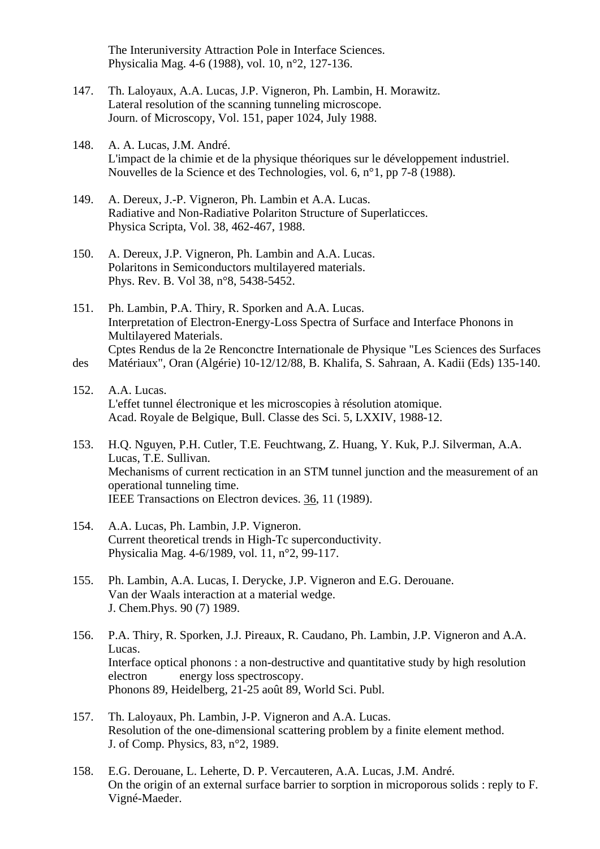The Interuniversity Attraction Pole in Interface Sciences. Physicalia Mag. 4-6 (1988), vol. 10, n°2, 127-136.

- 147. Th. Laloyaux, A.A. Lucas, J.P. Vigneron, Ph. Lambin, H. Morawitz. Lateral resolution of the scanning tunneling microscope. Journ. of Microscopy, Vol. 151, paper 1024, July 1988.
- 148. A. A. Lucas, J.M. André. L'impact de la chimie et de la physique théoriques sur le développement industriel. Nouvelles de la Science et des Technologies, vol. 6, n°1, pp 7-8 (1988).
- 149. A. Dereux, J.-P. Vigneron, Ph. Lambin et A.A. Lucas. Radiative and Non-Radiative Polariton Structure of Superlaticces. Physica Scripta, Vol. 38, 462-467, 1988.
- 150. A. Dereux, J.P. Vigneron, Ph. Lambin and A.A. Lucas. Polaritons in Semiconductors multilayered materials. Phys. Rev. B. Vol 38, n°8, 5438-5452.
- 151. Ph. Lambin, P.A. Thiry, R. Sporken and A.A. Lucas. Interpretation of Electron-Energy-Loss Spectra of Surface and Interface Phonons in Multilayered Materials. Cptes Rendus de la 2e Renconctre Internationale de Physique "Les Sciences des Surfaces des Matériaux", Oran (Algérie) 10-12/12/88, B. Khalifa, S. Sahraan, A. Kadii (Eds) 135-140.
- 152. A.A. Lucas. L'effet tunnel électronique et les microscopies à résolution atomique. Acad. Royale de Belgique, Bull. Classe des Sci. 5, LXXIV, 1988-12.
- 153. H.Q. Nguyen, P.H. Cutler, T.E. Feuchtwang, Z. Huang, Y. Kuk, P.J. Silverman, A.A. Lucas, T.E. Sullivan. Mechanisms of current rectication in an STM tunnel junction and the measurement of an operational tunneling time. IEEE Transactions on Electron devices. 36, 11 (1989).
- 154. A.A. Lucas, Ph. Lambin, J.P. Vigneron. Current theoretical trends in High-Tc superconductivity. Physicalia Mag. 4-6/1989, vol. 11, n°2, 99-117.
- 155. Ph. Lambin, A.A. Lucas, I. Derycke, J.P. Vigneron and E.G. Derouane. Van der Waals interaction at a material wedge. J. Chem.Phys. 90 (7) 1989.
- 156. P.A. Thiry, R. Sporken, J.J. Pireaux, R. Caudano, Ph. Lambin, J.P. Vigneron and A.A. Lucas. Interface optical phonons : a non-destructive and quantitative study by high resolution electron energy loss spectroscopy. Phonons 89, Heidelberg, 21-25 août 89, World Sci. Publ.
- 157. Th. Laloyaux, Ph. Lambin, J-P. Vigneron and A.A. Lucas. Resolution of the one-dimensional scattering problem by a finite element method. J. of Comp. Physics, 83, n°2, 1989.
- 158. E.G. Derouane, L. Leherte, D. P. Vercauteren, A.A. Lucas, J.M. André. On the origin of an external surface barrier to sorption in microporous solids : reply to F. Vigné-Maeder.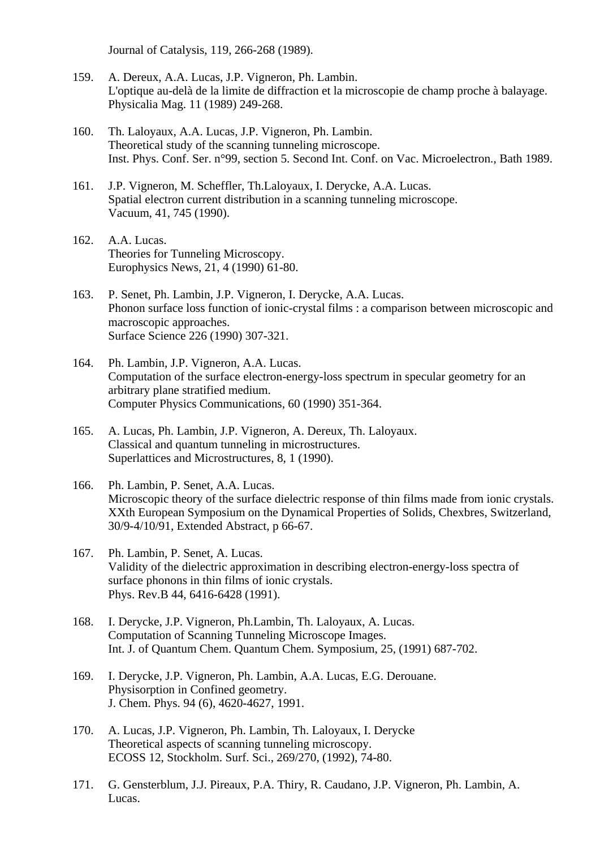Journal of Catalysis, 119, 266-268 (1989).

- 159. A. Dereux, A.A. Lucas, J.P. Vigneron, Ph. Lambin. L'optique au-delà de la limite de diffraction et la microscopie de champ proche à balayage. Physicalia Mag. 11 (1989) 249-268.
- 160. Th. Laloyaux, A.A. Lucas, J.P. Vigneron, Ph. Lambin. Theoretical study of the scanning tunneling microscope. Inst. Phys. Conf. Ser. n°99, section 5. Second Int. Conf. on Vac. Microelectron., Bath 1989.
- 161. J.P. Vigneron, M. Scheffler, Th.Laloyaux, I. Derycke, A.A. Lucas. Spatial electron current distribution in a scanning tunneling microscope. Vacuum, 41, 745 (1990).
- 162. A.A. Lucas. Theories for Tunneling Microscopy. Europhysics News, 21, 4 (1990) 61-80.
- 163. P. Senet, Ph. Lambin, J.P. Vigneron, I. Derycke, A.A. Lucas. Phonon surface loss function of ionic-crystal films : a comparison between microscopic and macroscopic approaches. Surface Science 226 (1990) 307-321.
- 164. Ph. Lambin, J.P. Vigneron, A.A. Lucas. Computation of the surface electron-energy-loss spectrum in specular geometry for an arbitrary plane stratified medium. Computer Physics Communications, 60 (1990) 351-364.
- 165. A. Lucas, Ph. Lambin, J.P. Vigneron, A. Dereux, Th. Laloyaux. Classical and quantum tunneling in microstructures. Superlattices and Microstructures, 8, 1 (1990).
- 166. Ph. Lambin, P. Senet, A.A. Lucas. Microscopic theory of the surface dielectric response of thin films made from ionic crystals. XXth European Symposium on the Dynamical Properties of Solids, Chexbres, Switzerland, 30/9-4/10/91, Extended Abstract, p 66-67.
- 167. Ph. Lambin, P. Senet, A. Lucas. Validity of the dielectric approximation in describing electron-energy-loss spectra of surface phonons in thin films of ionic crystals. Phys. Rev.B 44, 6416-6428 (1991).
- 168. I. Derycke, J.P. Vigneron, Ph.Lambin, Th. Laloyaux, A. Lucas. Computation of Scanning Tunneling Microscope Images. Int. J. of Quantum Chem. Quantum Chem. Symposium, 25, (1991) 687-702.
- 169. I. Derycke, J.P. Vigneron, Ph. Lambin, A.A. Lucas, E.G. Derouane. Physisorption in Confined geometry. J. Chem. Phys. 94 (6), 4620-4627, 1991.
- 170. A. Lucas, J.P. Vigneron, Ph. Lambin, Th. Laloyaux, I. Derycke Theoretical aspects of scanning tunneling microscopy. ECOSS 12, Stockholm. Surf. Sci., 269/270, (1992), 74-80.
- 171. G. Gensterblum, J.J. Pireaux, P.A. Thiry, R. Caudano, J.P. Vigneron, Ph. Lambin, A. Lucas.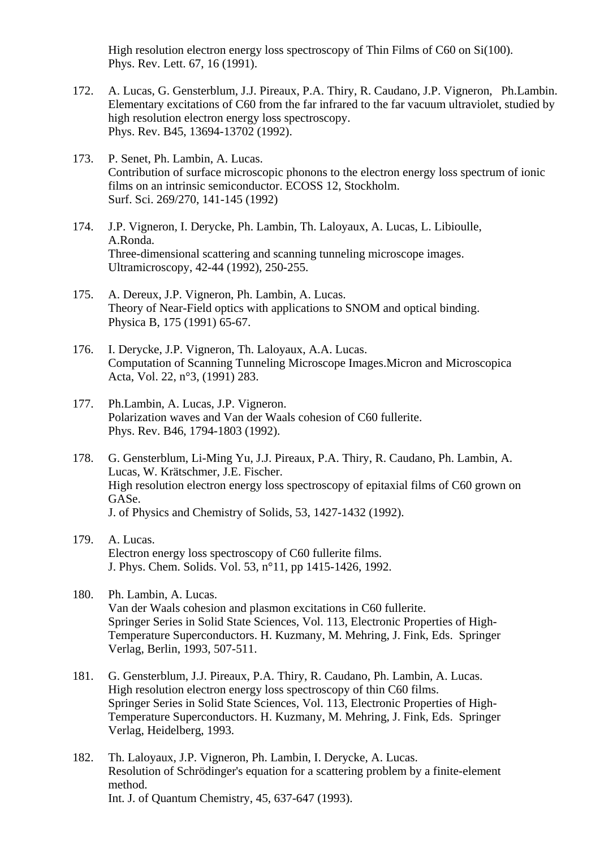High resolution electron energy loss spectroscopy of Thin Films of C60 on Si(100). Phys. Rev. Lett. 67, 16 (1991).

- 172. A. Lucas, G. Gensterblum, J.J. Pireaux, P.A. Thiry, R. Caudano, J.P. Vigneron, Ph.Lambin. Elementary excitations of C60 from the far infrared to the far vacuum ultraviolet, studied by high resolution electron energy loss spectroscopy. Phys. Rev. B45, 13694-13702 (1992).
- 173. P. Senet, Ph. Lambin, A. Lucas. Contribution of surface microscopic phonons to the electron energy loss spectrum of ionic films on an intrinsic semiconductor. ECOSS 12, Stockholm. Surf. Sci. 269/270, 141-145 (1992)
- 174. J.P. Vigneron, I. Derycke, Ph. Lambin, Th. Laloyaux, A. Lucas, L. Libioulle, A.Ronda. Three-dimensional scattering and scanning tunneling microscope images. Ultramicroscopy, 42-44 (1992), 250-255.
- 175. A. Dereux, J.P. Vigneron, Ph. Lambin, A. Lucas. Theory of Near-Field optics with applications to SNOM and optical binding. Physica B, 175 (1991) 65-67.
- 176. I. Derycke, J.P. Vigneron, Th. Laloyaux, A.A. Lucas. Computation of Scanning Tunneling Microscope Images.Micron and Microscopica Acta, Vol. 22, n°3, (1991) 283.
- 177. Ph.Lambin, A. Lucas, J.P. Vigneron. Polarization waves and Van der Waals cohesion of C60 fullerite. Phys. Rev. B46, 1794-1803 (1992).
- 178. G. Gensterblum, Li-Ming Yu, J.J. Pireaux, P.A. Thiry, R. Caudano, Ph. Lambin, A. Lucas, W. Krätschmer, J.E. Fischer. High resolution electron energy loss spectroscopy of epitaxial films of C60 grown on GASe. J. of Physics and Chemistry of Solids, 53, 1427-1432 (1992).
- 179. A. Lucas. Electron energy loss spectroscopy of C60 fullerite films. J. Phys. Chem. Solids. Vol. 53, n°11, pp 1415-1426, 1992.
- 180. Ph. Lambin, A. Lucas. Van der Waals cohesion and plasmon excitations in C60 fullerite. Springer Series in Solid State Sciences, Vol. 113, Electronic Properties of High- Temperature Superconductors. H. Kuzmany, M. Mehring, J. Fink, Eds. Springer Verlag, Berlin, 1993, 507-511.
- 181. G. Gensterblum, J.J. Pireaux, P.A. Thiry, R. Caudano, Ph. Lambin, A. Lucas. High resolution electron energy loss spectroscopy of thin C60 films. Springer Series in Solid State Sciences, Vol. 113, Electronic Properties of High- Temperature Superconductors. H. Kuzmany, M. Mehring, J. Fink, Eds. Springer Verlag, Heidelberg, 1993.
- 182. Th. Laloyaux, J.P. Vigneron, Ph. Lambin, I. Derycke, A. Lucas. Resolution of Schrödinger's equation for a scattering problem by a finite-element method. Int. J. of Quantum Chemistry, 45, 637-647 (1993).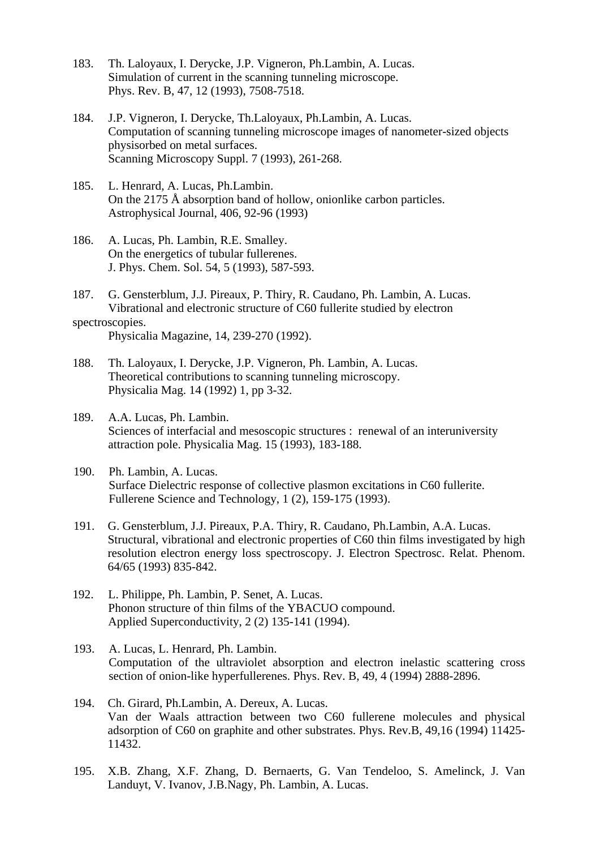- 183. Th. Laloyaux, I. Derycke, J.P. Vigneron, Ph.Lambin, A. Lucas. Simulation of current in the scanning tunneling microscope. Phys. Rev. B, 47, 12 (1993), 7508-7518.
- 184. J.P. Vigneron, I. Derycke, Th.Laloyaux, Ph.Lambin, A. Lucas. Computation of scanning tunneling microscope images of nanometer-sized objects physisorbed on metal surfaces. Scanning Microscopy Suppl. 7 (1993), 261-268.
- 185. L. Henrard, A. Lucas, Ph.Lambin. On the 2175 Å absorption band of hollow, onionlike carbon particles. Astrophysical Journal, 406, 92-96 (1993)
- 186. A. Lucas, Ph. Lambin, R.E. Smalley. On the energetics of tubular fullerenes. J. Phys. Chem. Sol. 54, 5 (1993), 587-593.
- 187. G. Gensterblum, J.J. Pireaux, P. Thiry, R. Caudano, Ph. Lambin, A. Lucas. Vibrational and electronic structure of C60 fullerite studied by electron spectroscopies.

Physicalia Magazine, 14, 239-270 (1992).

- 188. Th. Laloyaux, I. Derycke, J.P. Vigneron, Ph. Lambin, A. Lucas. Theoretical contributions to scanning tunneling microscopy. Physicalia Mag. 14 (1992) 1, pp 3-32.
- 189. A.A. Lucas, Ph. Lambin. Sciences of interfacial and mesoscopic structures : renewal of an interuniversity attraction pole. Physicalia Mag. 15 (1993), 183-188.
- 190. Ph. Lambin, A. Lucas. Surface Dielectric response of collective plasmon excitations in C60 fullerite. Fullerene Science and Technology, 1 (2), 159-175 (1993).
- 191. G. Gensterblum, J.J. Pireaux, P.A. Thiry, R. Caudano, Ph.Lambin, A.A. Lucas. Structural, vibrational and electronic properties of C60 thin films investigated by high resolution electron energy loss spectroscopy. J. Electron Spectrosc. Relat. Phenom. 64/65 (1993) 835-842.
- 192. L. Philippe, Ph. Lambin, P. Senet, A. Lucas. Phonon structure of thin films of the YBACUO compound. Applied Superconductivity, 2 (2) 135-141 (1994).
- 193. A. Lucas, L. Henrard, Ph. Lambin. Computation of the ultraviolet absorption and electron inelastic scattering cross section of onion-like hyperfullerenes. Phys. Rev. B, 49, 4 (1994) 2888-2896.
- 194. Ch. Girard, Ph.Lambin, A. Dereux, A. Lucas. Van der Waals attraction between two C60 fullerene molecules and physical adsorption of C60 on graphite and other substrates. Phys. Rev.B, 49,16 (1994) 11425- 11432.
- 195. X.B. Zhang, X.F. Zhang, D. Bernaerts, G. Van Tendeloo, S. Amelinck, J. Van Landuyt, V. Ivanov, J.B.Nagy, Ph. Lambin, A. Lucas.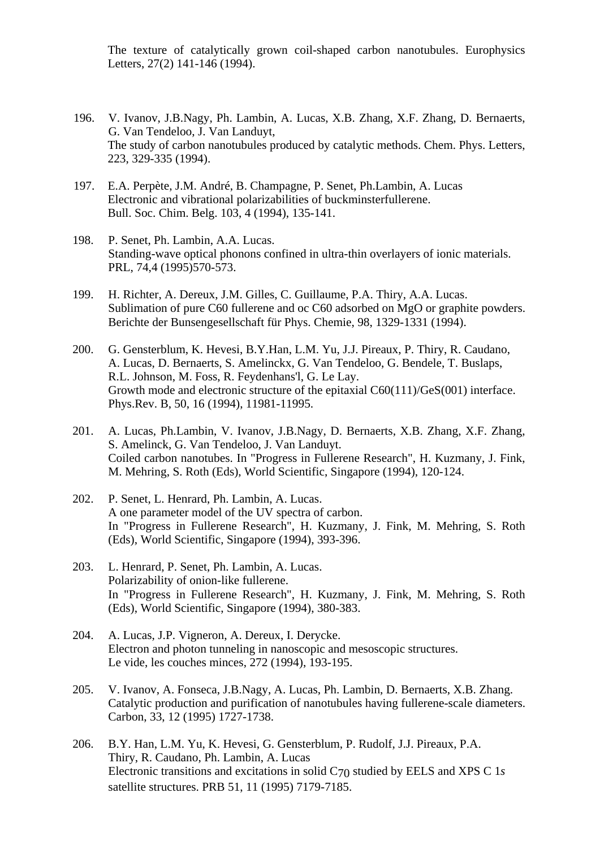The texture of catalytically grown coil-shaped carbon nanotubules. Europhysics Letters, 27(2) 141-146 (1994).

- 196. V. Ivanov, J.B.Nagy, Ph. Lambin, A. Lucas, X.B. Zhang, X.F. Zhang, D. Bernaerts, G. Van Tendeloo, J. Van Landuyt, The study of carbon nanotubules produced by catalytic methods. Chem. Phys. Letters, 223, 329-335 (1994).
- 197. E.A. Perpète, J.M. André, B. Champagne, P. Senet, Ph.Lambin, A. Lucas Electronic and vibrational polarizabilities of buckminsterfullerene. Bull. Soc. Chim. Belg. 103, 4 (1994), 135-141.
- 198. P. Senet, Ph. Lambin, A.A. Lucas. Standing-wave optical phonons confined in ultra-thin overlayers of ionic materials. PRL, 74,4 (1995)570-573.
- 199. H. Richter, A. Dereux, J.M. Gilles, C. Guillaume, P.A. Thiry, A.A. Lucas. Sublimation of pure C60 fullerene and oc C60 adsorbed on MgO or graphite powders. Berichte der Bunsengesellschaft für Phys. Chemie, 98, 1329-1331 (1994).
- 200. G. Gensterblum, K. Hevesi, B.Y.Han, L.M. Yu, J.J. Pireaux, P. Thiry, R. Caudano, A. Lucas, D. Bernaerts, S. Amelinckx, G. Van Tendeloo, G. Bendele, T. Buslaps, R.L. Johnson, M. Foss, R. Feydenhans'l, G. Le Lay. Growth mode and electronic structure of the epitaxial C60(111)/GeS(001) interface. Phys.Rev. B, 50, 16 (1994), 11981-11995.
- 201. A. Lucas, Ph.Lambin, V. Ivanov, J.B.Nagy, D. Bernaerts, X.B. Zhang, X.F. Zhang, S. Amelinck, G. Van Tendeloo, J. Van Landuyt. Coiled carbon nanotubes. In "Progress in Fullerene Research", H. Kuzmany, J. Fink, M. Mehring, S. Roth (Eds), World Scientific, Singapore (1994), 120-124.
- 202. P. Senet, L. Henrard, Ph. Lambin, A. Lucas. A one parameter model of the UV spectra of carbon. In "Progress in Fullerene Research", H. Kuzmany, J. Fink, M. Mehring, S. Roth (Eds), World Scientific, Singapore (1994), 393-396.
- 203. L. Henrard, P. Senet, Ph. Lambin, A. Lucas. Polarizability of onion-like fullerene. In "Progress in Fullerene Research", H. Kuzmany, J. Fink, M. Mehring, S. Roth (Eds), World Scientific, Singapore (1994), 380-383.
- 204. A. Lucas, J.P. Vigneron, A. Dereux, I. Derycke. Electron and photon tunneling in nanoscopic and mesoscopic structures. Le vide, les couches minces, 272 (1994), 193-195.
- 205. V. Ivanov, A. Fonseca, J.B.Nagy, A. Lucas, Ph. Lambin, D. Bernaerts, X.B. Zhang. Catalytic production and purification of nanotubules having fullerene-scale diameters. Carbon, 33, 12 (1995) 1727-1738.
- 206. B.Y. Han, L.M. Yu, K. Hevesi, G. Gensterblum, P. Rudolf, J.J. Pireaux, P.A. Thiry, R. Caudano, Ph. Lambin, A. Lucas Electronic transitions and excitations in solid C70 studied by EELS and XPS C 1*s*  satellite structures. PRB 51, 11 (1995) 7179-7185.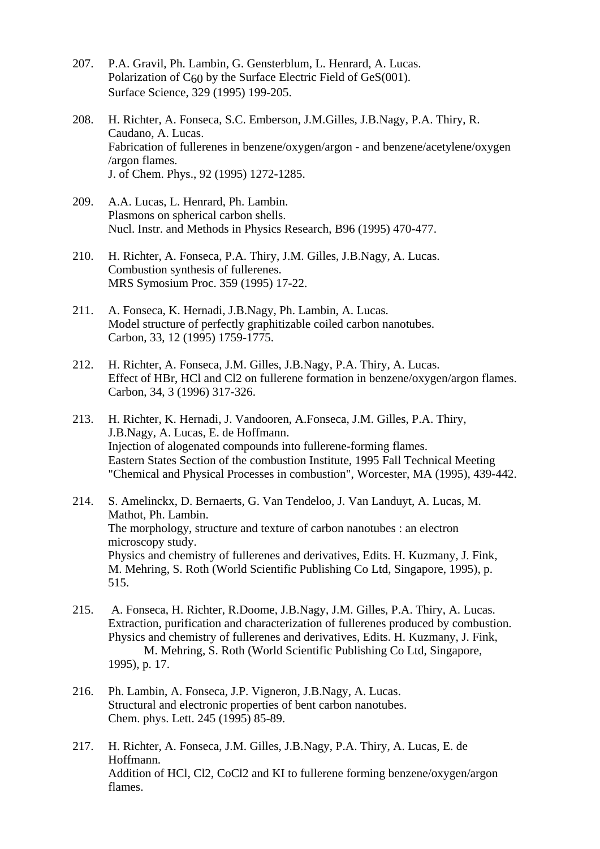- 207. P.A. Gravil, Ph. Lambin, G. Gensterblum, L. Henrard, A. Lucas. Polarization of  $C_{60}$  by the Surface Electric Field of GeS(001). Surface Science, 329 (1995) 199-205.
- 208. H. Richter, A. Fonseca, S.C. Emberson, J.M.Gilles, J.B.Nagy, P.A. Thiry, R. Caudano, A. Lucas. Fabrication of fullerenes in benzene/oxygen/argon - and benzene/acetylene/oxygen /argon flames. J. of Chem. Phys., 92 (1995) 1272-1285.
- 209. A.A. Lucas, L. Henrard, Ph. Lambin. Plasmons on spherical carbon shells. Nucl. Instr. and Methods in Physics Research, B96 (1995) 470-477.
- 210. H. Richter, A. Fonseca, P.A. Thiry, J.M. Gilles, J.B.Nagy, A. Lucas. Combustion synthesis of fullerenes. MRS Symosium Proc. 359 (1995) 17-22.
- 211. A. Fonseca, K. Hernadi, J.B.Nagy, Ph. Lambin, A. Lucas. Model structure of perfectly graphitizable coiled carbon nanotubes. Carbon, 33, 12 (1995) 1759-1775.
- 212. H. Richter, A. Fonseca, J.M. Gilles, J.B.Nagy, P.A. Thiry, A. Lucas. Effect of HBr, HCl and Cl2 on fullerene formation in benzene/oxygen/argon flames. Carbon, 34, 3 (1996) 317-326.
- 213. H. Richter, K. Hernadi, J. Vandooren, A.Fonseca, J.M. Gilles, P.A. Thiry, J.B.Nagy, A. Lucas, E. de Hoffmann. Injection of alogenated compounds into fullerene-forming flames. Eastern States Section of the combustion Institute, 1995 Fall Technical Meeting "Chemical and Physical Processes in combustion", Worcester, MA (1995), 439-442.
- 214. S. Amelinckx, D. Bernaerts, G. Van Tendeloo, J. Van Landuyt, A. Lucas, M. Mathot, Ph. Lambin. The morphology, structure and texture of carbon nanotubes : an electron microscopy study. Physics and chemistry of fullerenes and derivatives, Edits. H. Kuzmany, J. Fink, M. Mehring, S. Roth (World Scientific Publishing Co Ltd, Singapore, 1995), p. 515.
- 215. A. Fonseca, H. Richter, R.Doome, J.B.Nagy, J.M. Gilles, P.A. Thiry, A. Lucas. Extraction, purification and characterization of fullerenes produced by combustion. Physics and chemistry of fullerenes and derivatives, Edits. H. Kuzmany, J. Fink, M. Mehring, S. Roth (World Scientific Publishing Co Ltd, Singapore, 1995), p. 17.
- 216. Ph. Lambin, A. Fonseca, J.P. Vigneron, J.B.Nagy, A. Lucas. Structural and electronic properties of bent carbon nanotubes. Chem. phys. Lett. 245 (1995) 85-89.
- 217. H. Richter, A. Fonseca, J.M. Gilles, J.B.Nagy, P.A. Thiry, A. Lucas, E. de Hoffmann. Addition of HCl, Cl2, CoCl2 and KI to fullerene forming benzene/oxygen/argon flames.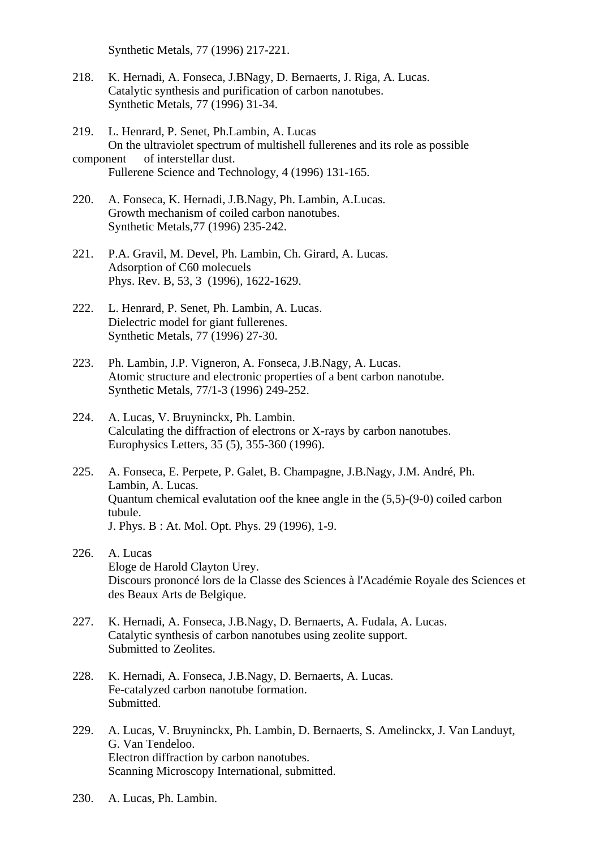Synthetic Metals, 77 (1996) 217-221.

- 218. K. Hernadi, A. Fonseca, J.BNagy, D. Bernaerts, J. Riga, A. Lucas. Catalytic synthesis and purification of carbon nanotubes. Synthetic Metals, 77 (1996) 31-34.
- 219. L. Henrard, P. Senet, Ph.Lambin, A. Lucas On the ultraviolet spectrum of multishell fullerenes and its role as possible
- component of interstellar dust. Fullerene Science and Technology, 4 (1996) 131-165.
- 220. A. Fonseca, K. Hernadi, J.B.Nagy, Ph. Lambin, A.Lucas. Growth mechanism of coiled carbon nanotubes. Synthetic Metals,77 (1996) 235-242.
- 221. P.A. Gravil, M. Devel, Ph. Lambin, Ch. Girard, A. Lucas. Adsorption of C60 molecuels Phys. Rev. B, 53, 3 (1996), 1622-1629.
- 222. L. Henrard, P. Senet, Ph. Lambin, A. Lucas. Dielectric model for giant fullerenes. Synthetic Metals, 77 (1996) 27-30.
- 223. Ph. Lambin, J.P. Vigneron, A. Fonseca, J.B.Nagy, A. Lucas. Atomic structure and electronic properties of a bent carbon nanotube. Synthetic Metals, 77/1-3 (1996) 249-252.
- 224. A. Lucas, V. Bruyninckx, Ph. Lambin. Calculating the diffraction of electrons or X-rays by carbon nanotubes. Europhysics Letters, 35 (5), 355-360 (1996).
- 225. A. Fonseca, E. Perpete, P. Galet, B. Champagne, J.B.Nagy, J.M. André, Ph. Lambin, A. Lucas. Quantum chemical evalutation oof the knee angle in the (5,5)-(9-0) coiled carbon tubule. J. Phys. B : At. Mol. Opt. Phys. 29 (1996), 1-9.
- 226. A. Lucas Eloge de Harold Clayton Urey. Discours prononcé lors de la Classe des Sciences à l'Académie Royale des Sciences et des Beaux Arts de Belgique.
- 227. K. Hernadi, A. Fonseca, J.B.Nagy, D. Bernaerts, A. Fudala, A. Lucas. Catalytic synthesis of carbon nanotubes using zeolite support. Submitted to Zeolites.
- 228. K. Hernadi, A. Fonseca, J.B.Nagy, D. Bernaerts, A. Lucas. Fe-catalyzed carbon nanotube formation. **Submitted**
- 229. A. Lucas, V. Bruyninckx, Ph. Lambin, D. Bernaerts, S. Amelinckx, J. Van Landuyt, G. Van Tendeloo. Electron diffraction by carbon nanotubes. Scanning Microscopy International, submitted.
- 230. A. Lucas, Ph. Lambin.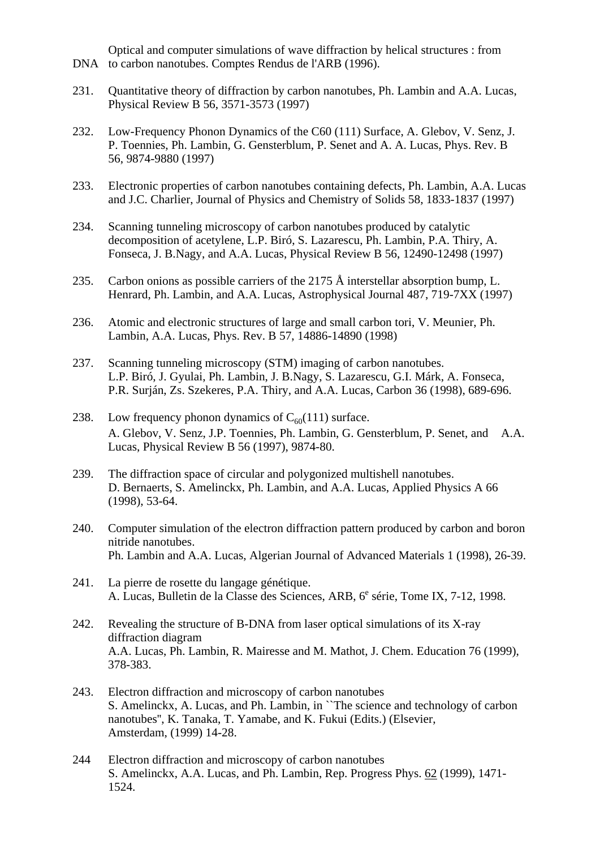Optical and computer simulations of wave diffraction by helical structures : from DNA to carbon nanotubes. Comptes Rendus de l'ARB (1996).

- 231. Quantitative theory of diffraction by carbon nanotubes, Ph. Lambin and A.A. Lucas, Physical Review B 56, 3571-3573 (1997)
- 232. Low-Frequency Phonon Dynamics of the C60 (111) Surface, A. Glebov, V. Senz, J. P. Toennies, Ph. Lambin, G. Gensterblum, P. Senet and A. A. Lucas, Phys. Rev. B 56, 9874-9880 (1997)
- 233. Electronic properties of carbon nanotubes containing defects, Ph. Lambin, A.A. Lucas and J.C. Charlier, Journal of Physics and Chemistry of Solids 58, 1833-1837 (1997)
- 234. Scanning tunneling microscopy of carbon nanotubes produced by catalytic decomposition of acetylene, L.P. Biró, S. Lazarescu, Ph. Lambin, P.A. Thiry, A. Fonseca, J. B.Nagy, and A.A. Lucas, Physical Review B 56, 12490-12498 (1997)
- 235. Carbon onions as possible carriers of the 2175 Å interstellar absorption bump, L. Henrard, Ph. Lambin, and A.A. Lucas, Astrophysical Journal 487, 719-7XX (1997)
- 236. Atomic and electronic structures of large and small carbon tori, V. Meunier, Ph. Lambin, A.A. Lucas, Phys. Rev. B 57, 14886-14890 (1998)
- 237. Scanning tunneling microscopy (STM) imaging of carbon nanotubes. L.P. Biró, J. Gyulai, Ph. Lambin, J. B.Nagy, S. Lazarescu, G.I. Márk, A. Fonseca, P.R. Surján, Zs. Szekeres, P.A. Thiry, and A.A. Lucas, Carbon 36 (1998), 689-696.
- 238. Low frequency phonon dynamics of  $C_{60}(111)$  surface. A. Glebov, V. Senz, J.P. Toennies, Ph. Lambin, G. Gensterblum, P. Senet, and A.A. Lucas, Physical Review B 56 (1997), 9874-80.
- 239. The diffraction space of circular and polygonized multishell nanotubes. D. Bernaerts, S. Amelinckx, Ph. Lambin, and A.A. Lucas, Applied Physics A 66 (1998), 53-64.
- 240. Computer simulation of the electron diffraction pattern produced by carbon and boron nitride nanotubes. Ph. Lambin and A.A. Lucas, Algerian Journal of Advanced Materials 1 (1998), 26-39.
- 241. La pierre de rosette du langage génétique. A. Lucas, Bulletin de la Classe des Sciences, ARB, 6<sup>e</sup> série, Tome IX, 7-12, 1998.
- 242. Revealing the structure of B-DNA from laser optical simulations of its X-ray diffraction diagram A.A. Lucas, Ph. Lambin, R. Mairesse and M. Mathot, J. Chem. Education 76 (1999), 378-383.
- 243. Electron diffraction and microscopy of carbon nanotubes S. Amelinckx, A. Lucas, and Ph. Lambin, in ``The science and technology of carbon nanotubes'', K. Tanaka, T. Yamabe, and K. Fukui (Edits.) (Elsevier, Amsterdam, (1999) 14-28.
- 244 Electron diffraction and microscopy of carbon nanotubes S. Amelinckx, A.A. Lucas, and Ph. Lambin, Rep. Progress Phys. 62 (1999), 1471- 1524.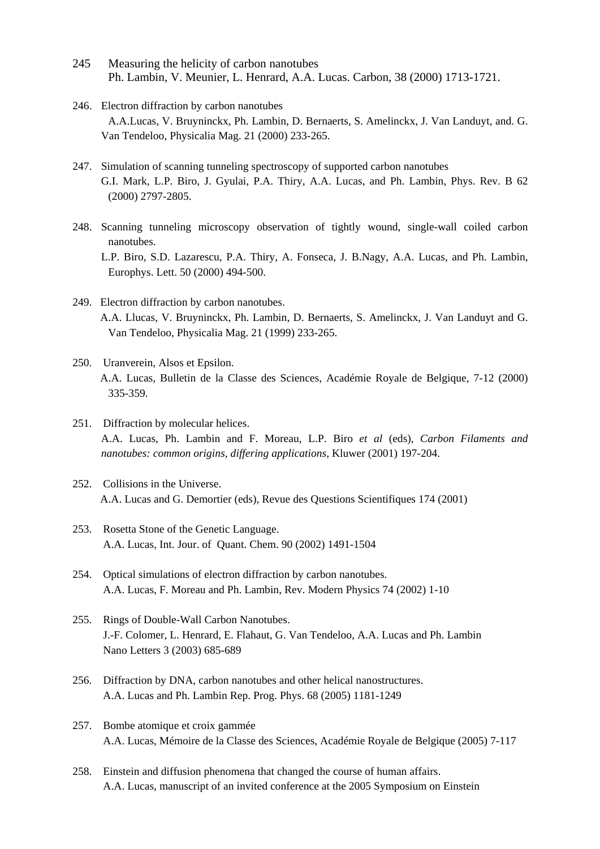- 245 Measuring the helicity of carbon nanotubes Ph. Lambin, V. Meunier, L. Henrard, A.A. Lucas. Carbon, 38 (2000) 1713-1721.
- 246. Electron diffraction by carbon nanotubes A.A.Lucas, V. Bruyninckx, Ph. Lambin, D. Bernaerts, S. Amelinckx, J. Van Landuyt, and. G. Van Tendeloo, Physicalia Mag. 21 (2000) 233-265.
- 247. Simulation of scanning tunneling spectroscopy of supported carbon nanotubes G.I. Mark, L.P. Biro, J. Gyulai, P.A. Thiry, A.A. Lucas, and Ph. Lambin, Phys. Rev. B 62 (2000) 2797-2805.
- 248. Scanning tunneling microscopy observation of tightly wound, single-wall coiled carbon nanotubes. L.P. Biro, S.D. Lazarescu, P.A. Thiry, A. Fonseca, J. B.Nagy, A.A. Lucas, and Ph. Lambin, Europhys. Lett. 50 (2000) 494-500.
- 249. Electron diffraction by carbon nanotubes. A.A. Llucas, V. Bruyninckx, Ph. Lambin, D. Bernaerts, S. Amelinckx, J. Van Landuyt and G. Van Tendeloo, Physicalia Mag. 21 (1999) 233-265.
- 250. Uranverein, Alsos et Epsilon. A.A. Lucas, Bulletin de la Classe des Sciences, Académie Royale de Belgique, 7-12 (2000) 335-359.
- 251. Diffraction by molecular helices. A.A. Lucas, Ph. Lambin and F. Moreau, L.P. Biro *et al* (eds), *Carbon Filaments and nanotubes: common origins, differing applications,* Kluwer (2001) 197-204.
- 252. Collisions in the Universe. A.A. Lucas and G. Demortier (eds), Revue des Questions Scientifiques 174 (2001)
- 253. Rosetta Stone of the Genetic Language. A.A. Lucas, Int. Jour. of Quant. Chem. 90 (2002) 1491-1504
- 254. Optical simulations of electron diffraction by carbon nanotubes. A.A. Lucas, F. Moreau and Ph. Lambin, Rev. Modern Physics 74 (2002) 1-10
- 255. Rings of Double-Wall Carbon Nanotubes. J.-F. Colomer, L. Henrard, E. Flahaut, G. Van Tendeloo, A.A. Lucas and Ph. Lambin Nano Letters 3 (2003) 685-689
- 256. Diffraction by DNA, carbon nanotubes and other helical nanostructures. A.A. Lucas and Ph. Lambin Rep. Prog. Phys. 68 (2005) 1181-1249
- 257. Bombe atomique et croix gammée A.A. Lucas, Mémoire de la Classe des Sciences, Académie Royale de Belgique (2005) 7-117
- 258. Einstein and diffusion phenomena that changed the course of human affairs. A.A. Lucas, manuscript of an invited conference at the 2005 Symposium on Einstein